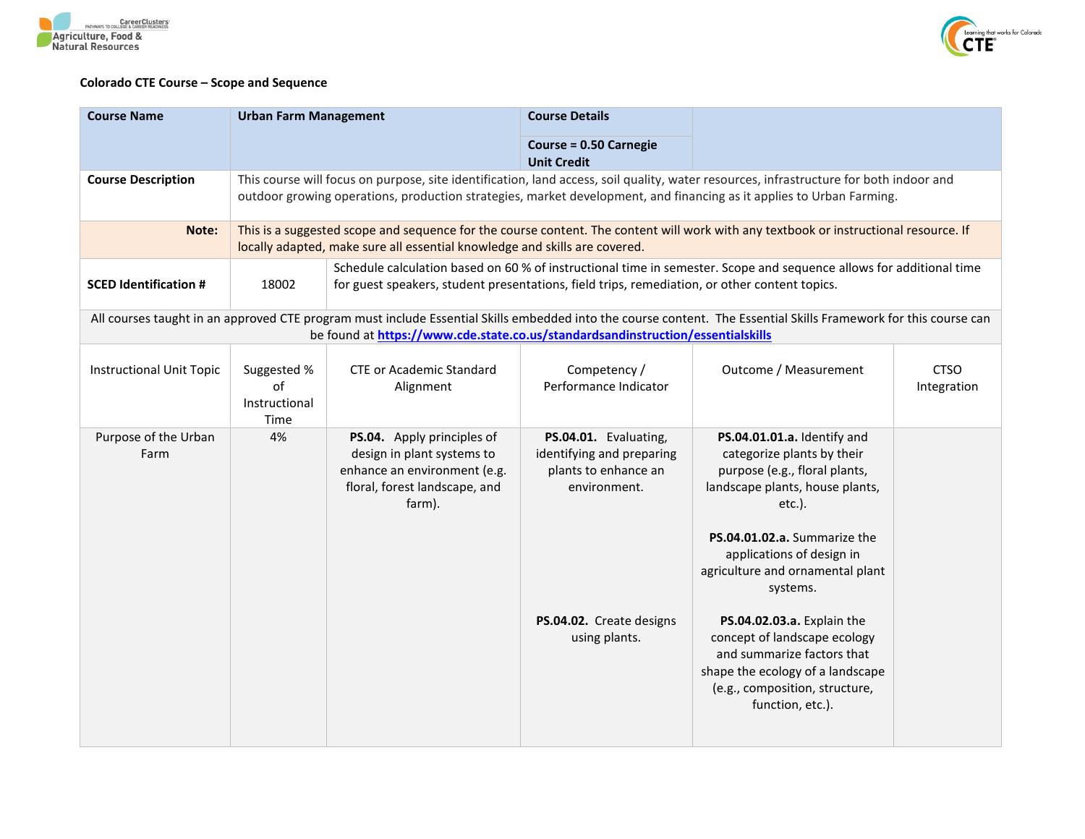



## **Colorado CTE Course – Scope and Sequence**

| <b>Course Name</b>              | <b>Urban Farm Management</b>                                                                                                                                                                                                                                   |                                                                                                                                                                                                                    | <b>Course Details</b>                                                                                                                   |                                                                                                                                                                                                                                                                                                                                                                                                                                               |                            |  |
|---------------------------------|----------------------------------------------------------------------------------------------------------------------------------------------------------------------------------------------------------------------------------------------------------------|--------------------------------------------------------------------------------------------------------------------------------------------------------------------------------------------------------------------|-----------------------------------------------------------------------------------------------------------------------------------------|-----------------------------------------------------------------------------------------------------------------------------------------------------------------------------------------------------------------------------------------------------------------------------------------------------------------------------------------------------------------------------------------------------------------------------------------------|----------------------------|--|
|                                 |                                                                                                                                                                                                                                                                |                                                                                                                                                                                                                    | <b>Course = 0.50 Carnegie</b><br><b>Unit Credit</b>                                                                                     |                                                                                                                                                                                                                                                                                                                                                                                                                                               |                            |  |
| <b>Course Description</b>       | This course will focus on purpose, site identification, land access, soil quality, water resources, infrastructure for both indoor and<br>outdoor growing operations, production strategies, market development, and financing as it applies to Urban Farming. |                                                                                                                                                                                                                    |                                                                                                                                         |                                                                                                                                                                                                                                                                                                                                                                                                                                               |                            |  |
| Note:                           |                                                                                                                                                                                                                                                                | This is a suggested scope and sequence for the course content. The content will work with any textbook or instructional resource. If<br>locally adapted, make sure all essential knowledge and skills are covered. |                                                                                                                                         |                                                                                                                                                                                                                                                                                                                                                                                                                                               |                            |  |
| <b>SCED Identification #</b>    | Schedule calculation based on 60 % of instructional time in semester. Scope and sequence allows for additional time<br>18002<br>for guest speakers, student presentations, field trips, remediation, or other content topics.                                  |                                                                                                                                                                                                                    |                                                                                                                                         |                                                                                                                                                                                                                                                                                                                                                                                                                                               |                            |  |
|                                 |                                                                                                                                                                                                                                                                | be found at https://www.cde.state.co.us/standardsandinstruction/essentialskills                                                                                                                                    |                                                                                                                                         | All courses taught in an approved CTE program must include Essential Skills embedded into the course content. The Essential Skills Framework for this course can                                                                                                                                                                                                                                                                              |                            |  |
| <b>Instructional Unit Topic</b> | Suggested %<br>of<br>Instructional<br>Time                                                                                                                                                                                                                     | <b>CTE or Academic Standard</b><br>Alignment                                                                                                                                                                       | Competency /<br>Performance Indicator                                                                                                   | Outcome / Measurement                                                                                                                                                                                                                                                                                                                                                                                                                         | <b>CTSO</b><br>Integration |  |
| Purpose of the Urban<br>Farm    | 4%                                                                                                                                                                                                                                                             | PS.04. Apply principles of<br>design in plant systems to<br>enhance an environment (e.g.<br>floral, forest landscape, and<br>farm).                                                                                | PS.04.01. Evaluating,<br>identifying and preparing<br>plants to enhance an<br>environment.<br>PS.04.02. Create designs<br>using plants. | PS.04.01.01.a. Identify and<br>categorize plants by their<br>purpose (e.g., floral plants,<br>landscape plants, house plants,<br>$etc.$ ).<br>PS.04.01.02.a. Summarize the<br>applications of design in<br>agriculture and ornamental plant<br>systems.<br>PS.04.02.03.a. Explain the<br>concept of landscape ecology<br>and summarize factors that<br>shape the ecology of a landscape<br>(e.g., composition, structure,<br>function, etc.). |                            |  |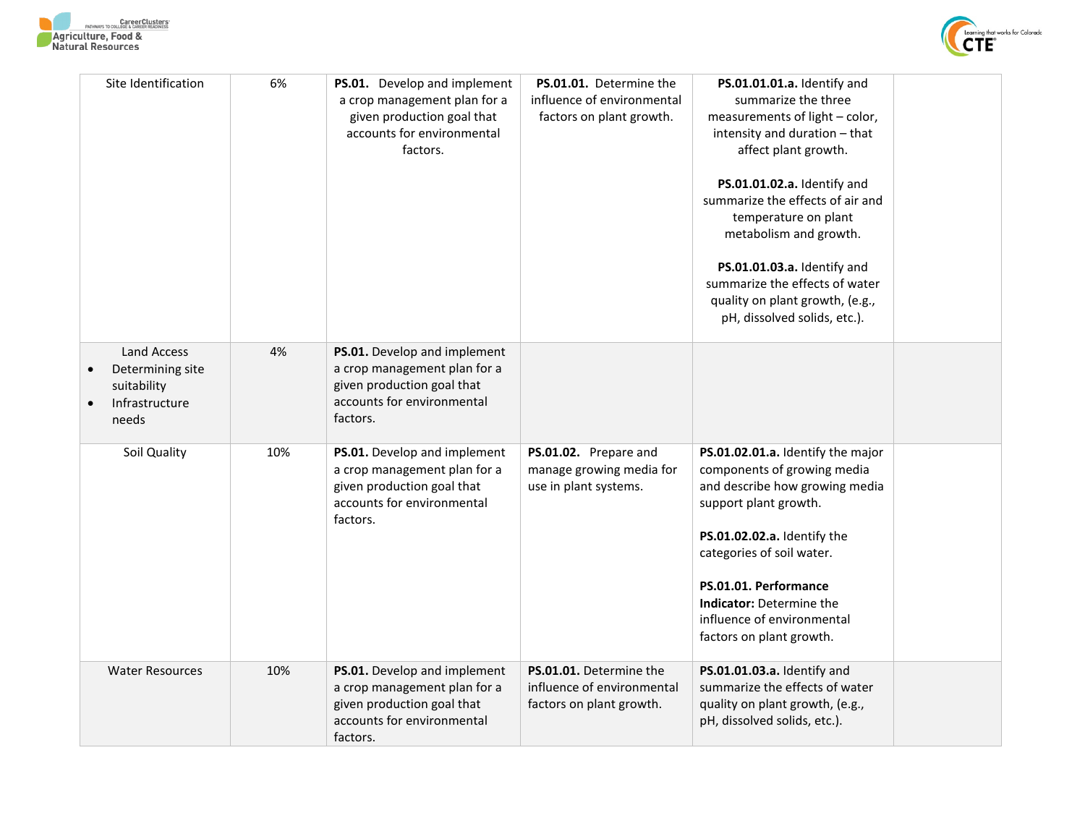



| Site Identification                                                              | 6%  | PS.01. Develop and implement<br>a crop management plan for a<br>given production goal that<br>accounts for environmental<br>factors. | PS.01.01. Determine the<br>influence of environmental<br>factors on plant growth. | PS.01.01.01.a. Identify and<br>summarize the three<br>measurements of light - color,<br>intensity and duration - that<br>affect plant growth.<br>PS.01.01.02.a. Identify and<br>summarize the effects of air and<br>temperature on plant<br>metabolism and growth.<br>PS.01.01.03.a. Identify and<br>summarize the effects of water<br>quality on plant growth, (e.g.,<br>pH, dissolved solids, etc.). |  |
|----------------------------------------------------------------------------------|-----|--------------------------------------------------------------------------------------------------------------------------------------|-----------------------------------------------------------------------------------|--------------------------------------------------------------------------------------------------------------------------------------------------------------------------------------------------------------------------------------------------------------------------------------------------------------------------------------------------------------------------------------------------------|--|
| <b>Land Access</b><br>Determining site<br>suitability<br>Infrastructure<br>needs | 4%  | PS.01. Develop and implement<br>a crop management plan for a<br>given production goal that<br>accounts for environmental<br>factors. |                                                                                   |                                                                                                                                                                                                                                                                                                                                                                                                        |  |
| Soil Quality                                                                     | 10% | PS.01. Develop and implement<br>a crop management plan for a<br>given production goal that<br>accounts for environmental<br>factors. | PS.01.02. Prepare and<br>manage growing media for<br>use in plant systems.        | PS.01.02.01.a. Identify the major<br>components of growing media<br>and describe how growing media<br>support plant growth.<br>PS.01.02.02.a. Identify the<br>categories of soil water.<br>PS.01.01. Performance<br><b>Indicator: Determine the</b><br>influence of environmental<br>factors on plant growth.                                                                                          |  |
| <b>Water Resources</b>                                                           | 10% | PS.01. Develop and implement<br>a crop management plan for a<br>given production goal that<br>accounts for environmental<br>factors. | PS.01.01. Determine the<br>influence of environmental<br>factors on plant growth. | PS.01.01.03.a. Identify and<br>summarize the effects of water<br>quality on plant growth, (e.g.,<br>pH, dissolved solids, etc.).                                                                                                                                                                                                                                                                       |  |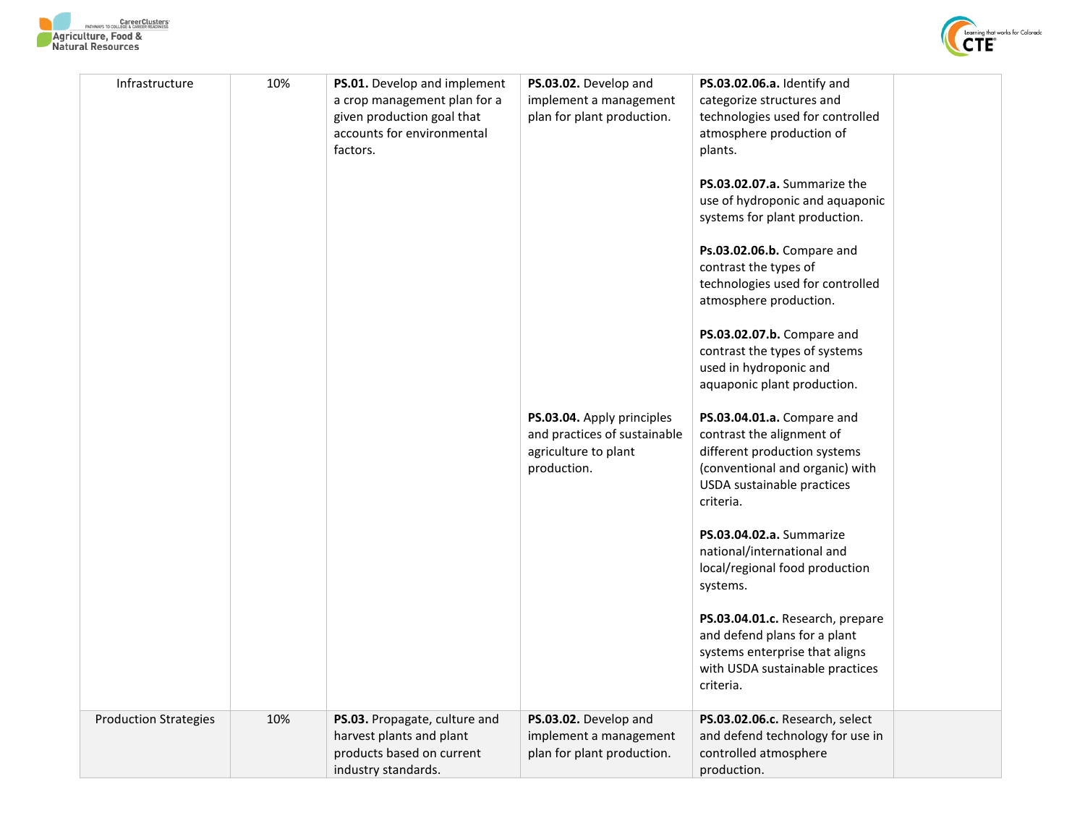



| Infrastructure               | 10% | PS.01. Develop and implement<br>a crop management plan for a<br>given production goal that<br>accounts for environmental<br>factors. | PS.03.02. Develop and<br>implement a management<br>plan for plant production.                     | PS.03.02.06.a. Identify and<br>categorize structures and<br>technologies used for controlled<br>atmosphere production of<br>plants.<br>PS.03.02.07.a. Summarize the<br>use of hydroponic and aquaponic<br>systems for plant production.<br>Ps.03.02.06.b. Compare and<br>contrast the types of<br>technologies used for controlled<br>atmosphere production.<br>PS.03.02.07.b. Compare and<br>contrast the types of systems<br>used in hydroponic and<br>aquaponic plant production. |
|------------------------------|-----|--------------------------------------------------------------------------------------------------------------------------------------|---------------------------------------------------------------------------------------------------|--------------------------------------------------------------------------------------------------------------------------------------------------------------------------------------------------------------------------------------------------------------------------------------------------------------------------------------------------------------------------------------------------------------------------------------------------------------------------------------|
|                              |     |                                                                                                                                      | PS.03.04. Apply principles<br>and practices of sustainable<br>agriculture to plant<br>production. | PS.03.04.01.a. Compare and<br>contrast the alignment of<br>different production systems<br>(conventional and organic) with<br>USDA sustainable practices<br>criteria.                                                                                                                                                                                                                                                                                                                |
|                              |     |                                                                                                                                      |                                                                                                   | PS.03.04.02.a. Summarize<br>national/international and<br>local/regional food production<br>systems.                                                                                                                                                                                                                                                                                                                                                                                 |
|                              |     |                                                                                                                                      |                                                                                                   | PS.03.04.01.c. Research, prepare<br>and defend plans for a plant<br>systems enterprise that aligns<br>with USDA sustainable practices<br>criteria.                                                                                                                                                                                                                                                                                                                                   |
| <b>Production Strategies</b> | 10% | PS.03. Propagate, culture and<br>harvest plants and plant<br>products based on current<br>industry standards.                        | PS.03.02. Develop and<br>implement a management<br>plan for plant production.                     | PS.03.02.06.c. Research, select<br>and defend technology for use in<br>controlled atmosphere<br>production.                                                                                                                                                                                                                                                                                                                                                                          |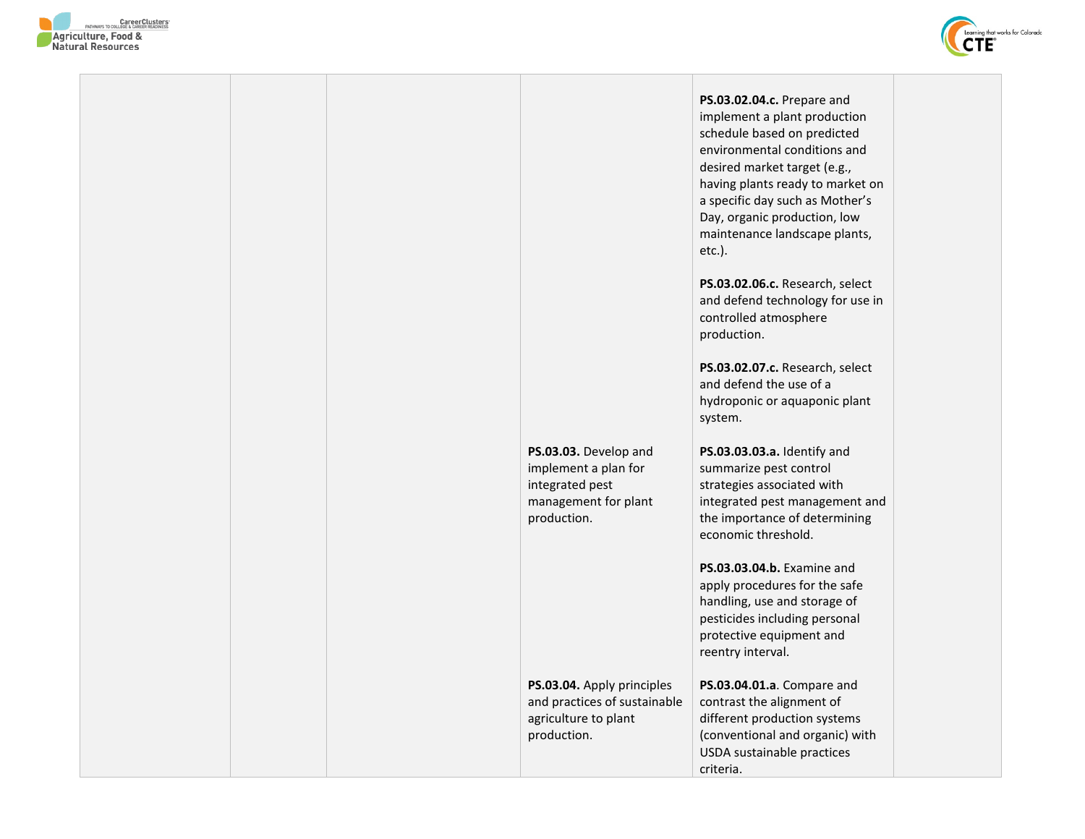



|  |                                                                                                         | <b>PS.03.02.04.c.</b> Prepare and<br>implement a plant production<br>schedule based on predicted<br>environmental conditions and<br>desired market target (e.g.,<br>having plants ready to market on<br>a specific day such as Mother's<br>Day, organic production, low<br>maintenance landscape plants,<br>etc.). |  |
|--|---------------------------------------------------------------------------------------------------------|--------------------------------------------------------------------------------------------------------------------------------------------------------------------------------------------------------------------------------------------------------------------------------------------------------------------|--|
|  |                                                                                                         | PS.03.02.06.c. Research, select<br>and defend technology for use in<br>controlled atmosphere<br>production.                                                                                                                                                                                                        |  |
|  |                                                                                                         | PS.03.02.07.c. Research, select<br>and defend the use of a<br>hydroponic or aquaponic plant<br>system.                                                                                                                                                                                                             |  |
|  | PS.03.03. Develop and<br>implement a plan for<br>integrated pest<br>management for plant<br>production. | PS.03.03.03.a. Identify and<br>summarize pest control<br>strategies associated with<br>integrated pest management and<br>the importance of determining<br>economic threshold.                                                                                                                                      |  |
|  |                                                                                                         | PS.03.03.04.b. Examine and<br>apply procedures for the safe<br>handling, use and storage of<br>pesticides including personal<br>protective equipment and<br>reentry interval.                                                                                                                                      |  |
|  | PS.03.04. Apply principles<br>and practices of sustainable<br>agriculture to plant<br>production.       | PS.03.04.01.a. Compare and<br>contrast the alignment of<br>different production systems<br>(conventional and organic) with<br>USDA sustainable practices<br>criteria.                                                                                                                                              |  |